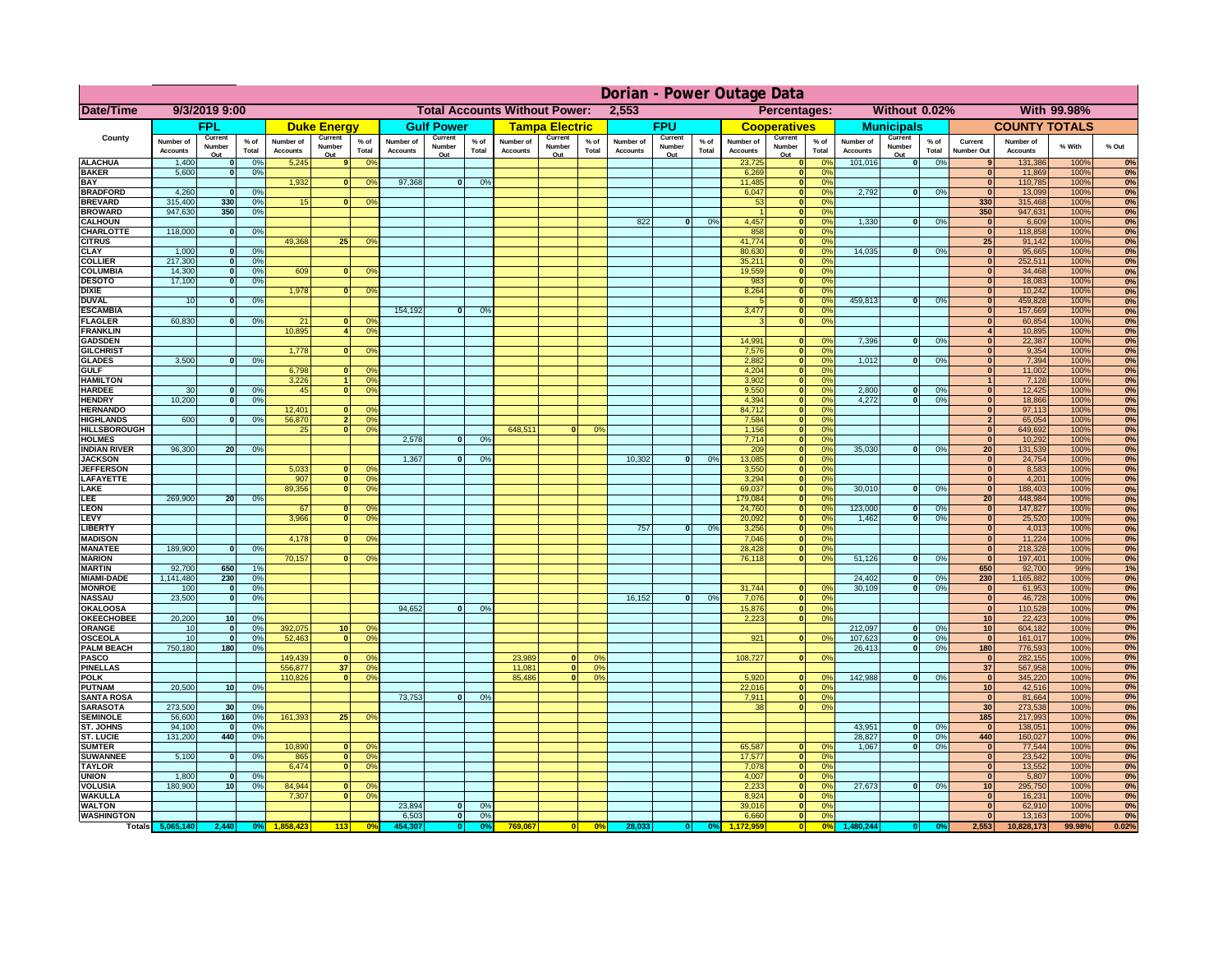|                                         | Dorian - Power Outage Data   |                          |                                  |                              |                                 |                                                                    |                              |                          |                 |                                              |                          |                |                              |                          |               |                              |                                                    |                       |                              |                          |               |                                  |                              |              |          |
|-----------------------------------------|------------------------------|--------------------------|----------------------------------|------------------------------|---------------------------------|--------------------------------------------------------------------|------------------------------|--------------------------|-----------------|----------------------------------------------|--------------------------|----------------|------------------------------|--------------------------|---------------|------------------------------|----------------------------------------------------|-----------------------|------------------------------|--------------------------|---------------|----------------------------------|------------------------------|--------------|----------|
| Date/Time                               | 9/3/2019 9:00                |                          |                                  |                              |                                 | <b>Total Accounts Without Power:</b><br>2,553                      |                              |                          |                 | Percentages:<br>Without 0.02%<br>With 99.98% |                          |                |                              |                          |               |                              |                                                    |                       |                              |                          |               |                                  |                              |              |          |
|                                         |                              | <b>FPL</b>               |                                  |                              | <b>Duke Energy</b>              |                                                                    |                              | <b>Gulf Power</b>        |                 |                                              | <b>Tampa Electric</b>    |                |                              | <b>FPU</b>               |               |                              | <b>Cooperatives</b>                                |                       |                              | <b>Municipals</b>        |               |                                  | <b>COUNTY TOTALS</b>         |              |          |
| County                                  | Number of<br><b>Accounts</b> | Current<br>Number<br>Out | $%$ of<br>Total                  | Number of<br><b>Accounts</b> | Current<br><b>Number</b><br>Out | $%$ of<br>Total                                                    | Number of<br><b>Accounts</b> | Current<br>Number<br>Out | $%$ of<br>Total | Number of<br><b>Accounts</b>                 | Current<br>Number<br>Out | % of<br>Total  | Number of<br><b>Accounts</b> | Current<br>Number<br>Out | % of<br>Total | Number of<br><b>Accounts</b> | Current<br>Number<br>Out                           | $%$ of<br>Total       | Number of<br><b>Accounts</b> | Current<br>Number<br>Out | % of<br>Total | Current<br><b>Number Out</b>     | Number of<br><b>Accounts</b> | % With       | % Out    |
| <b>ALACHUA</b>                          | 1,400                        |                          | 0 <sup>9</sup>                   | 5,245                        |                                 | 0 <sup>9</sup>                                                     |                              |                          |                 |                                              |                          |                |                              |                          |               | 23,725                       | $\mathbf 0$                                        | 0%                    | 101,016                      | $\mathbf{0}$             | 0%            |                                  | 131,386                      | 100%         | 0%       |
| <b>BAKER</b><br><b>BAY</b>              | 5,600                        |                          | 0 <sup>9</sup>                   | 1,932                        | 0                               | 0 <sup>9</sup>                                                     | 97,368                       | $\bf{0}$                 | 0%              |                                              |                          |                |                              |                          |               | 6,269<br>11,485              | $\mathbf{0}$<br>$\mathbf{0}$                       | 0%<br>0 <sup>9</sup>  |                              |                          |               | $\bf{0}$<br>$\mathbf{0}$         | 11,869<br>110,785            | 100%<br>100% | 0%<br>0% |
| <b>BRADFORD</b>                         | 4,260                        |                          | 0 <sup>9</sup>                   |                              |                                 |                                                                    |                              |                          |                 |                                              |                          |                |                              |                          |               | 6,047                        | $\mathbf{0}$                                       | 0%                    | 2,792                        | 0                        | 0%            | $\Omega$                         | 13,099                       | 100%         | 0%       |
| <b>BREVARD</b>                          | 315,400                      | 330                      | 0 <sup>9</sup>                   | 15                           |                                 | 0 <sup>9</sup>                                                     |                              |                          |                 |                                              |                          |                |                              |                          |               | 53                           | $\mathbf{0}$                                       | 0%                    |                              |                          |               | 330                              | 315,468                      | 100%         | 0%       |
| <b>BROWARD</b>                          | 947,630                      | 350                      | 0 <sup>9</sup>                   |                              |                                 |                                                                    |                              |                          |                 |                                              |                          |                |                              |                          |               |                              | ō                                                  | 0%                    |                              |                          |               | 350                              | 947,631                      | 100%         | 0%       |
| <b>CALHOUN</b><br><b>CHARLOTTE</b>      | 118,000                      | $\Omega$                 | 0%                               |                              |                                 |                                                                    |                              |                          |                 |                                              |                          |                | 822                          | $\mathbf{0}$             | 0%            | 4,457<br>858                 | $\mathbf{0}$<br>$\mathbf{0}$                       | 0%<br>0%              | 1,330                        | ol                       | 0%            | $\mathbf{0}$<br>$\Omega$         | 6,609<br>118,858             | 100%<br>100% | 0%<br>0% |
| <b>CITRUS</b>                           |                              |                          |                                  | 49.368                       | 25                              | 0 <sup>9</sup>                                                     |                              |                          |                 |                                              |                          |                |                              |                          |               | 41,774                       | $\mathbf{0}$                                       | 0%                    |                              |                          |               | 25                               | 91,142                       | 100%         | 0%       |
| <b>CLAY</b>                             | 1,000                        |                          | 0 <sup>9</sup>                   |                              |                                 |                                                                    |                              |                          |                 |                                              |                          |                |                              |                          |               | 80,630                       | $\bullet$                                          | 0%                    | 14,035                       | 0                        | 0%            | $\mathbf{0}$                     | 95,665                       | 100%         | 0%       |
| <b>COLLIER</b><br><b>COLUMBIA</b>       | 217,300<br>14,300            | $\Omega$<br>$\Omega$     | 0 <sup>9</sup>                   | 609                          |                                 | $\Omega$                                                           |                              |                          |                 |                                              |                          |                |                              |                          |               | 35,211<br>19,559             | $\bullet$<br>$\overline{\mathbf{0}}$               | 0%<br>0%              |                              |                          |               | 0 <br>$\overline{0}$             | 252,511<br>34,468            | 100%         | 0%       |
| <b>DESOTO</b>                           | 17,100                       |                          | 0%<br>0%                         |                              |                                 | 0 <sup>9</sup>                                                     |                              |                          |                 |                                              |                          |                |                              |                          |               | 983                          | $\bullet$                                          | 0%                    |                              |                          |               | $\overline{0}$                   | 18,083                       | 100%<br>100% | 0%<br>0% |
| <b>DIXIE</b>                            |                              |                          |                                  | 1,978                        |                                 | 0 <sup>9</sup><br>$\mathbf{0}$                                     |                              |                          |                 |                                              |                          |                |                              |                          |               | 8,264                        | $\bullet$                                          | 0%                    |                              |                          |               | 0                                | 10,242                       | 100%         | 0%       |
| <b>DUVAL</b>                            | 10                           | $\Omega$                 | 0%                               |                              |                                 |                                                                    |                              |                          |                 |                                              |                          |                |                              |                          |               |                              | $\overline{\mathbf{0}}$                            | 0%                    | 459.813                      | $\overline{\mathbf{0}}$  | 0%            | $\overline{0}$                   | 459,828                      | 100%         | 0%       |
| <b>ESCAMBIA</b><br><b>FLAGLER</b>       | 60.830                       |                          |                                  | 21                           |                                 |                                                                    | 154,192                      | $\mathbf{0}$             | 0%              |                                              |                          |                |                              |                          |               | 3,477                        | $\overline{\mathbf{0}}$<br>$\overline{\mathbf{0}}$ | 0%<br>0%              |                              |                          |               | $\overline{0}$<br>$\overline{0}$ | 157,669                      | 100%<br>100% | 0%       |
| <b>FRANKLIN</b>                         |                              | $\Omega$                 | 0%                               | 10.895                       |                                 | 0 <sup>9</sup><br>$\Omega$<br>4<br>0 <sup>9</sup>                  |                              |                          |                 |                                              |                          |                |                              |                          |               | 3                            |                                                    |                       |                              |                          |               | $\overline{4}$                   | 60,854<br>10,895             | 100%         | 0%<br>0% |
| <b>GADSDEN</b>                          |                              |                          |                                  |                              |                                 |                                                                    |                              |                          |                 |                                              |                          |                |                              |                          |               | 14.991                       | $\Omega$                                           | $\Omega$              | 7.396                        | $\mathbf{0}$             | 0%            | $\overline{0}$                   | 22,387                       | 100%         | 0%       |
| <b>GILCHRIST</b>                        |                              |                          |                                  | 1,778                        |                                 | <sub>0</sub><br>0 <sup>9</sup>                                     |                              |                          |                 |                                              |                          |                |                              |                          |               | 7,576                        | 0                                                  | 0%                    |                              |                          |               | $\overline{\mathbf{0}}$          | 9,354                        | 100%         | 0%       |
| <b>GLADES</b>                           | 3,500                        |                          | 0 <sup>9</sup>                   |                              |                                 |                                                                    |                              |                          |                 |                                              |                          |                |                              |                          |               | 2,882                        |                                                    | 0 <br>0%              | 1,012                        | $\mathbf{0}$             | 0%            | $\mathbf{0}$                     | 7,394                        | 100%         | 0%       |
| <b>GULF</b><br><b>HAMILTON</b>          |                              |                          |                                  | 6,798<br>3,226               |                                 | $\mathbf{0}$<br>0 <sup>9</sup><br>1 <sup>1</sup><br>0 <sup>9</sup> |                              |                          |                 |                                              |                          |                |                              |                          |               | 4,204<br>3,902               | 0                                                  | 0%<br> 0 <br>0%       |                              |                          |               | $\mathbf{0}$<br>1 <sup>1</sup>   | 11,002<br>7,128              | 100%<br>100% | 0%<br>0% |
| <b>HARDEE</b>                           | 30                           |                          | 0%                               | 45                           |                                 | $\overline{0}$<br>0%                                               |                              |                          |                 |                                              |                          |                |                              |                          |               | 9,550                        | 0                                                  | 0%                    | 2,800                        | $\bf{0}$                 | 0%            | 0                                | 12,425                       | 100%         | 0%       |
| <b>HENDRY</b>                           | 10,200                       | $\Omega$                 | 0%                               |                              |                                 |                                                                    |                              |                          |                 |                                              |                          |                |                              |                          |               | 4,394                        | 0                                                  | 0%                    | 4,272                        | $\overline{0}$           | 0%            | 0                                | 18,866                       | 100%         | 0%       |
| <b>HERNANDO</b>                         |                              |                          |                                  | 12,401                       |                                 | $\mathbf{0}$<br>O <sup>9</sup>                                     |                              |                          |                 |                                              |                          |                |                              |                          |               | 84,712                       | 0                                                  | 0%                    |                              |                          |               | 0                                | 97,113                       | 100%         | 0%       |
| <b>HIGHLANDS</b><br><b>HILLSBOROUGH</b> | 600                          |                          | 0%                               | 56,870<br>25                 |                                 | 2 <sup>1</sup><br>0%<br>$\overline{0}$<br>0%                       |                              |                          |                 | 648,511                                      | $\Omega$                 | 0 <sup>9</sup> |                              |                          |               | 7,584<br>1,156               | 0 <br> 0                                           | 0%<br>0%              |                              |                          |               | $\overline{2}$<br> 0             | 65,054<br>649,692            | 100%<br>100% | 0%<br>0% |
| <b>HOLMES</b>                           |                              |                          |                                  |                              |                                 |                                                                    | 2.578                        | $\bf{0}$                 | 0%              |                                              |                          |                |                              |                          |               | 7,714                        | 0                                                  | 0%                    |                              |                          |               | 0                                | 10,292                       | 100%         | 0%       |
| <b>INDIAN RIVER</b>                     | 96,300                       | 20                       | 0%                               |                              |                                 |                                                                    |                              |                          |                 |                                              |                          |                |                              |                          |               | 209                          | 0                                                  | 0%                    | 35,030                       | $\mathbf{0}$             | 0%            | 20                               | 131,539                      | 100%         | 0%       |
| <b>JACKSON</b>                          |                              |                          |                                  |                              |                                 |                                                                    | 1,367                        | $\mathbf{0}$             | $0^{\circ}$     |                                              |                          |                | 10,302                       | 0                        | 0%            | 13,085                       | 0                                                  | 0%                    |                              |                          |               | 0                                | 24,754                       | 100%         | 0%       |
| <b>JEFFERSON</b>                        |                              |                          |                                  | 5,033                        |                                 | οI<br>0 <sup>9</sup>                                               |                              |                          |                 |                                              |                          |                |                              |                          |               | 3,550                        |                                                    | 0 <br>0%              |                              |                          |               | 0                                | 8,583                        | 100%         | 0%       |
| LAFAYETTE<br>LAKE                       |                              |                          |                                  | 907<br>89,356                |                                 | 0 <br>0 <sup>9</sup><br>$\Omega$<br>0 <sup>9</sup>                 |                              |                          |                 |                                              |                          |                |                              |                          |               | 3,294<br>69,037              | 0 <br> 0                                           | 0%<br>0%              | 30,010                       | $\mathbf{0}$             | 0%            | 0 <br> 0                         | 4,201<br>188,403             | 100%<br>100% | 0%<br>0% |
| LEE                                     | 269,900                      | 20                       | 0%                               |                              |                                 |                                                                    |                              |                          |                 |                                              |                          |                |                              |                          |               | 179,084                      | 0                                                  | 0%                    |                              |                          |               | 20 <sup>1</sup>                  | 448,984                      | 100%         | 0%       |
| <b>LEON</b>                             |                              |                          |                                  | 67                           |                                 | $\Omega$<br>$^{\circ}$                                             |                              |                          |                 |                                              |                          |                |                              |                          |               | 24,760                       |                                                    | 0 <br>0%              | 123,000                      | $\Omega$                 | 0%            | 0                                | 147,827                      | 100%         | 0%       |
| <b>LEVY</b>                             |                              |                          |                                  | 3,966                        |                                 | $\Omega$<br>0 <sup>o</sup>                                         |                              |                          |                 |                                              |                          |                |                              |                          |               | 20,092                       |                                                    | 0 <br>0%              | 1,462                        | $\Omega$                 | 0%            | 0                                | 25,520                       | 100%         | 0%       |
| <b>LIBERTY</b><br><b>MADISON</b>        |                              |                          |                                  | 4,178                        |                                 | 0<br>0°                                                            |                              |                          |                 |                                              |                          |                | 757                          | $\mathbf{0}$             | 0%            | 3,256<br>7,046               |                                                    | 0%<br> 0 <br>0%<br> 0 |                              |                          |               | 0 <br>$\mathbf{0}$               | 4,013<br>11,224              | 100%<br>100% | 0%<br>0% |
| <b>MANATEE</b>                          | 189,900                      | $\Omega$                 | 0%                               |                              |                                 |                                                                    |                              |                          |                 |                                              |                          |                |                              |                          |               | 28,428                       |                                                    | 0%<br> 0              |                              |                          |               | $\Omega$                         | 218,328                      | 100%         | 0%       |
| <b>MARION</b>                           |                              |                          |                                  | 70,157                       |                                 | n١<br>0 <sup>9</sup>                                               |                              |                          |                 |                                              |                          |                |                              |                          |               | 76,118                       |                                                    | 0 <br>0%              | 51,126                       | $\mathbf{0}$             | 0%            | 0                                | 197,401                      | 100%         | 0%       |
| <b>MARTIN</b>                           | 92,700                       | 650                      | 1%                               |                              |                                 |                                                                    |                              |                          |                 |                                              |                          |                |                              |                          |               |                              |                                                    |                       |                              |                          |               | 650                              | 92,700                       | 99%          | 1%       |
| <b>MIAMI-DADE</b>                       | 1,141,480                    | 230                      | 0%                               |                              |                                 |                                                                    |                              |                          |                 |                                              |                          |                |                              |                          |               |                              |                                                    | $\Omega$ %            | 24,402                       | 0                        | 0%            | 230                              | 1,165,882                    | 100%         | 0%<br>0% |
| <b>MONROE</b><br><b>NASSAU</b>          | 100<br>23,500                | $\Omega$<br>$\Omega$     | 0%<br>0%                         |                              |                                 |                                                                    |                              |                          |                 |                                              |                          |                | 16,152                       | 0                        | 0%            | 31,744<br>7,076              | 0                                                  | 0%<br> 0              | 30,109                       | -ol                      | 0%            | 0 <br> 0                         | 61,953<br>46,728             | 100%<br>100% | 0%       |
| OKALOOSA                                |                              |                          |                                  |                              |                                 |                                                                    | 94,652                       | $\bf{0}$                 | 0%              |                                              |                          |                |                              |                          |               | 15,876                       |                                                    | 0 <br>0%              |                              |                          |               | 0                                | 110,528                      | 100%         | 0%       |
| <b>OKEECHOBEE</b>                       | 20,200                       | 10                       | 0 <sup>9</sup>                   |                              |                                 |                                                                    |                              |                          |                 |                                              |                          |                |                              |                          |               | 2,223                        |                                                    | 0%<br> 0              |                              |                          |               | 10 <sup>1</sup>                  | 22,423                       | 100%         | 0%       |
| ORANGE                                  | 10<br>10                     | $\mathbf{0}$<br>$\Omega$ | 0 <sup>9</sup><br>0 <sup>9</sup> | 392,075                      | 10 <sup>1</sup>                 | 0 <sup>6</sup><br>0 <sup>9</sup><br>$\Omega$                       |                              |                          |                 |                                              |                          |                |                              |                          |               | 921                          |                                                    | 0 <br>0%              | 212,097                      | ol                       | 0%            | 10 <sup>1</sup><br>$\Omega$      | 604,182                      | 100%         | 0%       |
| <b>OSCEOLA</b><br><b>PALM BEACH</b>     | 750,180                      | 180                      | 0%                               | 52,463                       |                                 |                                                                    |                              |                          |                 |                                              |                          |                |                              |                          |               |                              |                                                    |                       | 107,623<br>26,413            | 0 <br> 0                 | 0%<br>0%      | 180                              | 161,017<br>776,593           | 100%<br>100% | 0%<br>0% |
| <b>PASCO</b>                            |                              |                          |                                  | 149,439                      |                                 | n l<br>0 <sup>9</sup>                                              |                              |                          |                 | 23,989                                       | $\mathbf{0}$             | 0 <sup>9</sup> |                              |                          |               | 108,727                      |                                                    | 0 <br>0%              |                              |                          |               | $\mathbf{0}$                     | 282,155                      | 100%         | 0%       |
| <b>PINELLAS</b>                         |                              |                          |                                  | 556,877                      | 37                              | 0 <sup>9</sup>                                                     |                              |                          |                 | 11,081                                       | 0                        | 0%             |                              |                          |               |                              |                                                    |                       |                              |                          |               | 37                               | 567,958                      | 100%         | 0%       |
| <b>POLK</b>                             |                              |                          |                                  | 110,826                      |                                 | 0 <br>0%                                                           |                              |                          |                 | 85,486                                       | $\overline{0}$           | 0%             |                              |                          |               | 5,920                        |                                                    | 0 <br>0 <sup>9</sup>  | 142,988                      | 0                        | 0%            | 0                                | 345,220                      | 100%         | 0%       |
| <b>PUTNAM</b><br><b>SANTA ROSA</b>      | 20,500                       | 10 <sup>1</sup>          | 0%                               |                              |                                 |                                                                    | 73,753                       | $\mathbf{0}$             | 0%              |                                              |                          |                |                              |                          |               | 22,016<br>7,911              | 0                                                  | 0%<br> 0 <br>0%       |                              |                          |               | 10 <sup>1</sup><br> 0            | 42,516<br>81,664             | 100%<br>100% | 0%<br>0% |
| <b>SARASOTA</b>                         | 273,500                      | 30                       | 0%                               |                              |                                 |                                                                    |                              |                          |                 |                                              |                          |                |                              |                          |               | 38                           |                                                    | 0 <br>0%              |                              |                          |               | 30 <sup>1</sup>                  | 273,538                      | 100%         | 0%       |
| <b>SEMINOLE</b>                         | 56,600                       | 160                      | 0%                               | 161,393                      | 25                              | 0%                                                                 |                              |                          |                 |                                              |                          |                |                              |                          |               |                              |                                                    |                       |                              |                          |               | 185                              | 217,993                      | 100%         | 0%       |
| <b>ST. JOHNS</b>                        | 94.100                       | - 0                      | 0%                               |                              |                                 |                                                                    |                              |                          |                 |                                              |                          |                |                              |                          |               |                              |                                                    |                       | 43.951                       | - O I                    | 0%            | 0                                | 138,051                      | 100%         | 0%       |
| <b>ST. LUCIE</b><br><b>SUMTER</b>       | 131.200                      | 440                      | 0%                               | 10,890                       |                                 | 0 <br>$\Omega$                                                     |                              |                          |                 |                                              |                          |                |                              |                          |               | 65,587                       | $\mathbf{0}$                                       | 0%                    | 28.827<br>1,067              | - O I<br> 0              | 0%<br>0%      | 440<br> 0                        | 160.027<br>77,544            | 100%<br>100% | 0%<br>0% |
| <b>SUWANNEE</b>                         | 5,100                        | $\Omega$                 | 0%                               | 865                          |                                 | 0 <sup>9</sup><br> 0                                               |                              |                          |                 |                                              |                          |                |                              |                          |               | 17,577                       | 0                                                  | 0%                    |                              |                          |               | 0                                | 23,542                       | 100%         | 0%       |
| <b>TAYLOR</b>                           |                              |                          |                                  | 6,474                        |                                 | 0 <br>0 <sup>9</sup>                                               |                              |                          |                 |                                              |                          |                |                              |                          |               | 7,078                        | 0                                                  | 0%                    |                              |                          |               | $\bf{0}$                         | 13,552                       | 100%         | 0%       |
| <b>UNION</b>                            | 1,800                        |                          | 0 <sup>9</sup>                   |                              |                                 |                                                                    |                              |                          |                 |                                              |                          |                |                              |                          |               | 4,007                        | $\mathbf 0$                                        | 0 <sup>9</sup>        |                              |                          |               | 0                                | 5,807                        | 100%         | 0%       |
| <b>VOLUSIA</b>                          | 180,900                      | 10                       | 0 <sup>9</sup>                   | 84,944                       |                                 | $\mathbf{0}$<br>$\Omega$<br>$\mathbf{0}$                           |                              |                          |                 |                                              |                          |                |                              |                          |               | 2,233                        | 0                                                  | 0%                    | 27,673                       | 0                        | 0%            | 10 <sup>1</sup>                  | 295,750                      | 100%         | 0%<br>0% |
| <b>WAKULLA</b><br><b>WALTON</b>         |                              |                          |                                  | 7,307                        |                                 | 0 <sup>9</sup>                                                     | 23,894                       | $\mathbf{0}$             | 0%              |                                              |                          |                |                              |                          |               | 8,924<br>39,016              | 0 <br> 0                                           | 0%<br>0%              |                              |                          |               | $\bf{0}$<br>$\mathbf{0}$         | 16,231<br>62,910             | 100%<br>100% | 0%       |
| <b>WASHINGTON</b>                       |                              |                          |                                  |                              |                                 |                                                                    | 6,503                        | 0                        | 0%              |                                              |                          |                |                              |                          |               | 6,660                        |                                                    | 0 <br>0%              |                              |                          |               | $\mathbf{0}$                     | 13,163                       | 100%         | 0%       |
|                                         | Totals 5,065,140             | 2,440                    | 0 <sup>o</sup>                   |                              | 113                             | 0 <sup>o</sup>                                                     | 154.30                       |                          | 0°              | 769,067                                      |                          | 0%             | 28,03                        | $\mathbf{0}$             |               |                              |                                                    | 0 <br>0%              |                              |                          |               | 2,553                            | 10,828,173                   | 99.98%       | 0.02%    |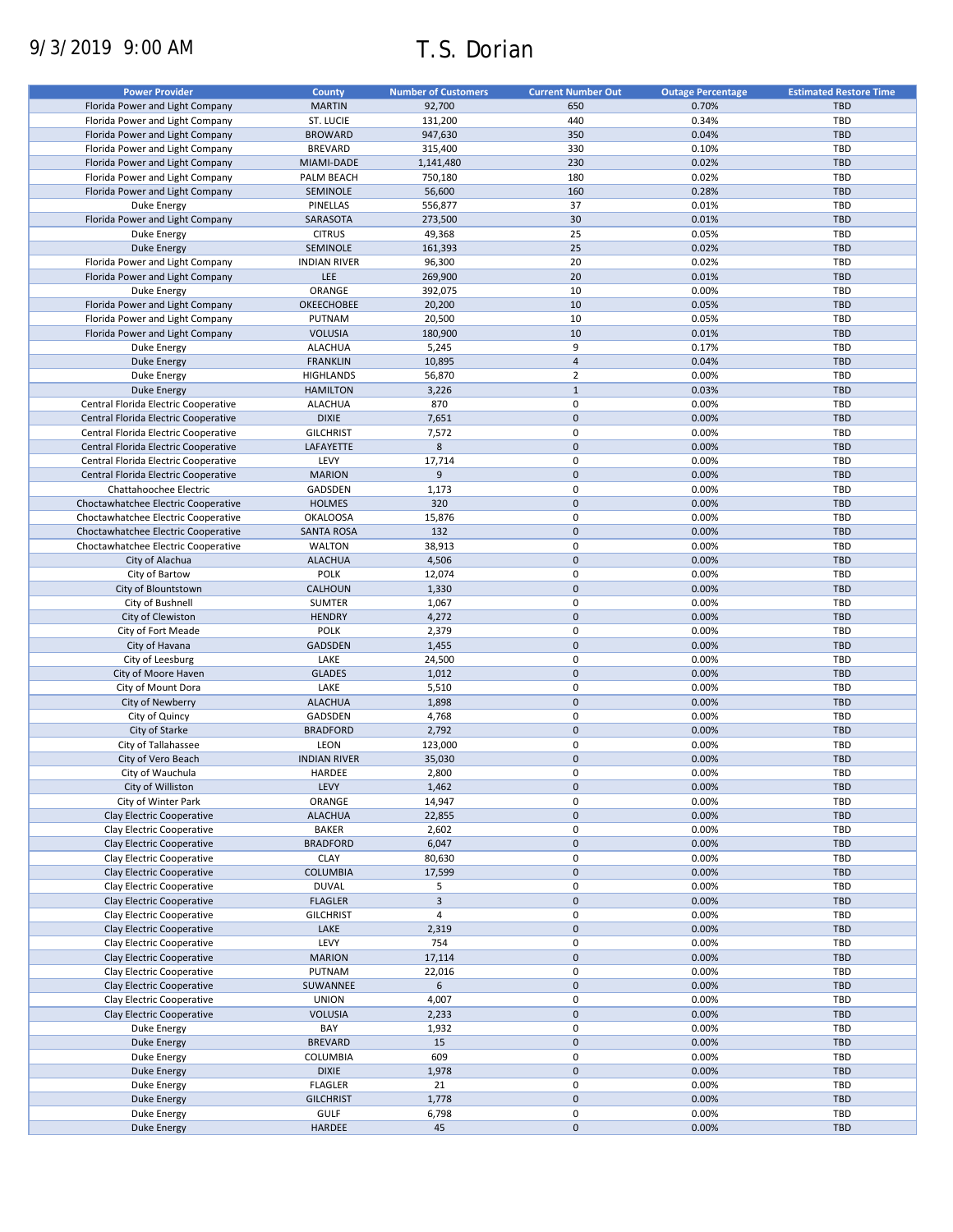# 9/3/2019 9:00 AM T.S. Dorian

| <b>Power Provider</b>                | <b>County</b>       | <b>Number of Customers</b> | <b>Current Number Out</b> | <b>Outage Percentage</b> | <b>Estimated Restore Time</b> |
|--------------------------------------|---------------------|----------------------------|---------------------------|--------------------------|-------------------------------|
| Florida Power and Light Company      | <b>MARTIN</b>       | 92,700                     | 650                       | 0.70%                    | <b>TBD</b>                    |
|                                      | ST. LUCIE           |                            | 440                       |                          | <b>TBD</b>                    |
| Florida Power and Light Company      |                     | 131,200                    |                           | 0.34%                    |                               |
| Florida Power and Light Company      | <b>BROWARD</b>      | 947,630                    | 350                       | 0.04%                    | <b>TBD</b>                    |
| Florida Power and Light Company      | <b>BREVARD</b>      | 315,400                    | 330                       | 0.10%                    | <b>TBD</b>                    |
| Florida Power and Light Company      | MIAMI-DADE          | 1,141,480                  | 230                       | 0.02%                    | <b>TBD</b>                    |
| Florida Power and Light Company      | PALM BEACH          | 750,180                    | 180                       | 0.02%                    | TBD                           |
| Florida Power and Light Company      | SEMINOLE            | 56,600                     | 160                       | 0.28%                    | <b>TBD</b>                    |
| Duke Energy                          | PINELLAS            | 556,877                    | 37                        | 0.01%                    | TBD                           |
| Florida Power and Light Company      | SARASOTA            | 273,500                    | 30                        | 0.01%                    | <b>TBD</b>                    |
| Duke Energy                          | <b>CITRUS</b>       | 49,368                     | 25                        | 0.05%                    | TBD                           |
|                                      |                     |                            |                           |                          |                               |
| <b>Duke Energy</b>                   | SEMINOLE            | 161,393                    | 25                        | 0.02%                    | <b>TBD</b>                    |
| Florida Power and Light Company      | <b>INDIAN RIVER</b> | 96,300                     | 20                        | 0.02%                    | TBD                           |
| Florida Power and Light Company      | LEE                 | 269,900                    | 20                        | 0.01%                    | <b>TBD</b>                    |
| Duke Energy                          | ORANGE              | 392,075                    | 10                        | 0.00%                    | TBD                           |
| Florida Power and Light Company      | OKEECHOBEE          | 20,200                     | 10                        | 0.05%                    | <b>TBD</b>                    |
| Florida Power and Light Company      | PUTNAM              | 20,500                     | 10                        | 0.05%                    | TBD                           |
| Florida Power and Light Company      | <b>VOLUSIA</b>      | 180,900                    | 10                        | 0.01%                    | <b>TBD</b>                    |
| <b>Duke Energy</b>                   | <b>ALACHUA</b>      | 5,245                      | 9                         | 0.17%                    | TBD                           |
|                                      |                     |                            | $\overline{\mathbf{4}}$   |                          |                               |
| <b>Duke Energy</b>                   | <b>FRANKLIN</b>     | 10,895                     |                           | 0.04%                    | <b>TBD</b>                    |
| Duke Energy                          | <b>HIGHLANDS</b>    | 56,870                     | $\overline{2}$            | 0.00%                    | TBD                           |
| <b>Duke Energy</b>                   | <b>HAMILTON</b>     | 3,226                      | $1\,$                     | 0.03%                    | <b>TBD</b>                    |
| Central Florida Electric Cooperative | <b>ALACHUA</b>      | 870                        | $\pmb{0}$                 | 0.00%                    | TBD                           |
| Central Florida Electric Cooperative | <b>DIXIE</b>        | 7,651                      | $\pmb{0}$                 | 0.00%                    | <b>TBD</b>                    |
| Central Florida Electric Cooperative | <b>GILCHRIST</b>    | 7,572                      | 0                         | 0.00%                    | TBD                           |
| Central Florida Electric Cooperative | LAFAYETTE           | 8                          | $\pmb{0}$                 | 0.00%                    | TBD                           |
|                                      |                     |                            | 0                         |                          |                               |
| Central Florida Electric Cooperative | LEVY                | 17,714                     |                           | 0.00%                    | <b>TBD</b>                    |
| Central Florida Electric Cooperative | <b>MARION</b>       | 9                          | $\pmb{0}$                 | 0.00%                    | <b>TBD</b>                    |
| Chattahoochee Electric               | GADSDEN             | 1,173                      | 0                         | 0.00%                    | <b>TBD</b>                    |
| Choctawhatchee Electric Cooperative  | <b>HOLMES</b>       | 320                        | $\pmb{0}$                 | 0.00%                    | <b>TBD</b>                    |
| Choctawhatchee Electric Cooperative  | <b>OKALOOSA</b>     | 15,876                     | 0                         | 0.00%                    | TBD                           |
| Choctawhatchee Electric Cooperative  | <b>SANTA ROSA</b>   | 132                        | $\pmb{0}$                 | 0.00%                    | <b>TBD</b>                    |
| Choctawhatchee Electric Cooperative  | <b>WALTON</b>       | 38,913                     | 0                         | 0.00%                    | <b>TBD</b>                    |
|                                      |                     |                            |                           |                          |                               |
| City of Alachua                      | <b>ALACHUA</b>      | 4,506                      | $\pmb{0}$                 | 0.00%                    | <b>TBD</b>                    |
| City of Bartow                       | <b>POLK</b>         | 12,074                     | 0                         | 0.00%                    | TBD                           |
| City of Blountstown                  | CALHOUN             | 1,330                      | $\pmb{0}$                 | 0.00%                    | <b>TBD</b>                    |
| City of Bushnell                     | SUMTER              | 1,067                      | 0                         | 0.00%                    | <b>TBD</b>                    |
| City of Clewiston                    | <b>HENDRY</b>       | 4,272                      | $\pmb{0}$                 | 0.00%                    | <b>TBD</b>                    |
| City of Fort Meade                   | <b>POLK</b>         | 2,379                      | 0                         | 0.00%                    | TBD                           |
| City of Havana                       | <b>GADSDEN</b>      | 1,455                      | $\mathbf 0$               | 0.00%                    | <b>TBD</b>                    |
| City of Leesburg                     | LAKE                | 24,500                     | $\pmb{0}$                 | 0.00%                    | <b>TBD</b>                    |
|                                      |                     |                            | $\mathbf 0$               |                          |                               |
| City of Moore Haven                  | <b>GLADES</b>       | 1,012                      |                           | 0.00%                    | <b>TBD</b>                    |
| City of Mount Dora                   | LAKE                | 5,510                      | 0                         | 0.00%                    | TBD                           |
| City of Newberry                     | <b>ALACHUA</b>      | 1,898                      | $\pmb{0}$                 | 0.00%                    | <b>TBD</b>                    |
| City of Quincy                       | GADSDEN             | 4,768                      | 0                         | 0.00%                    | <b>TBD</b>                    |
| City of Starke                       | <b>BRADFORD</b>     | 2,792                      | $\pmb{0}$                 | 0.00%                    | <b>TBD</b>                    |
| City of Tallahassee                  | LEON                | 123,000                    | 0                         | 0.00%                    | TBD                           |
| City of Vero Beach                   | <b>INDIAN RIVER</b> | 35,030                     | $\pmb{0}$                 | 0.00%                    | <b>TBD</b>                    |
|                                      |                     |                            | 0                         |                          | <b>TBD</b>                    |
| City of Wauchula                     | HARDEE              | 2,800                      |                           | 0.00%                    |                               |
| City of Williston                    | LEVY                | 1,462                      | $\pmb{0}$                 | 0.00%                    | <b>TBD</b>                    |
| City of Winter Park                  | ORANGE              | 14,947                     | 0                         | 0.00%                    | TBD                           |
| Clay Electric Cooperative            | <b>ALACHUA</b>      | 22,855                     | $\pmb{0}$                 | 0.00%                    | <b>TBD</b>                    |
| Clay Electric Cooperative            | <b>BAKER</b>        | 2,602                      | 0                         | 0.00%                    | TBD                           |
| Clay Electric Cooperative            | <b>BRADFORD</b>     | 6,047                      | $\pmb{0}$                 | 0.00%                    | TBD                           |
| Clay Electric Cooperative            | <b>CLAY</b>         | 80,630                     | 0                         | 0.00%                    | TBD                           |
| Clay Electric Cooperative            | <b>COLUMBIA</b>     |                            | $\pmb{0}$                 | 0.00%                    | <b>TBD</b>                    |
|                                      |                     | 17,599                     |                           |                          |                               |
| Clay Electric Cooperative            | <b>DUVAL</b>        | 5                          | 0                         | 0.00%                    | TBD                           |
| Clay Electric Cooperative            | <b>FLAGLER</b>      | $\mathbf{3}$               | $\pmb{0}$                 | 0.00%                    | <b>TBD</b>                    |
| Clay Electric Cooperative            | <b>GILCHRIST</b>    | $\overline{4}$             | 0                         | 0.00%                    | TBD                           |
| Clay Electric Cooperative            | LAKE                | 2,319                      | $\pmb{0}$                 | 0.00%                    | <b>TBD</b>                    |
| Clay Electric Cooperative            | LEVY                | 754                        | 0                         | 0.00%                    | TBD                           |
| Clay Electric Cooperative            | <b>MARION</b>       | 17,114                     | $\pmb{0}$                 | 0.00%                    | TBD                           |
|                                      | PUTNAM              |                            | 0                         | 0.00%                    | TBD                           |
| Clay Electric Cooperative            |                     | 22,016                     |                           |                          |                               |
| Clay Electric Cooperative            | SUWANNEE            | 6                          | $\pmb{0}$                 | 0.00%                    | <b>TBD</b>                    |
| Clay Electric Cooperative            | <b>UNION</b>        | 4,007                      | 0                         | 0.00%                    | TBD                           |
| Clay Electric Cooperative            | <b>VOLUSIA</b>      | 2,233                      | $\pmb{0}$                 | 0.00%                    | TBD                           |
| Duke Energy                          | BAY                 | 1,932                      | 0                         | 0.00%                    | TBD                           |
| <b>Duke Energy</b>                   | <b>BREVARD</b>      | 15                         | $\pmb{0}$                 | 0.00%                    | TBD                           |
| <b>Duke Energy</b>                   | COLUMBIA            | 609                        | 0                         | 0.00%                    | TBD                           |
| <b>Duke Energy</b>                   | <b>DIXIE</b>        | 1,978                      | $\pmb{0}$                 | 0.00%                    | TBD                           |
|                                      |                     |                            |                           |                          |                               |
| Duke Energy                          | <b>FLAGLER</b>      | 21                         | 0                         | 0.00%                    | <b>TBD</b>                    |
| <b>Duke Energy</b>                   | <b>GILCHRIST</b>    | 1,778                      | $\pmb{0}$                 | 0.00%                    | TBD                           |
| Duke Energy                          | <b>GULF</b>         | 6,798                      | 0                         | 0.00%                    | TBD                           |
| <b>Duke Energy</b>                   | HARDEE              | 45                         | $\pmb{0}$                 | 0.00%                    | TBD                           |
|                                      |                     |                            |                           |                          |                               |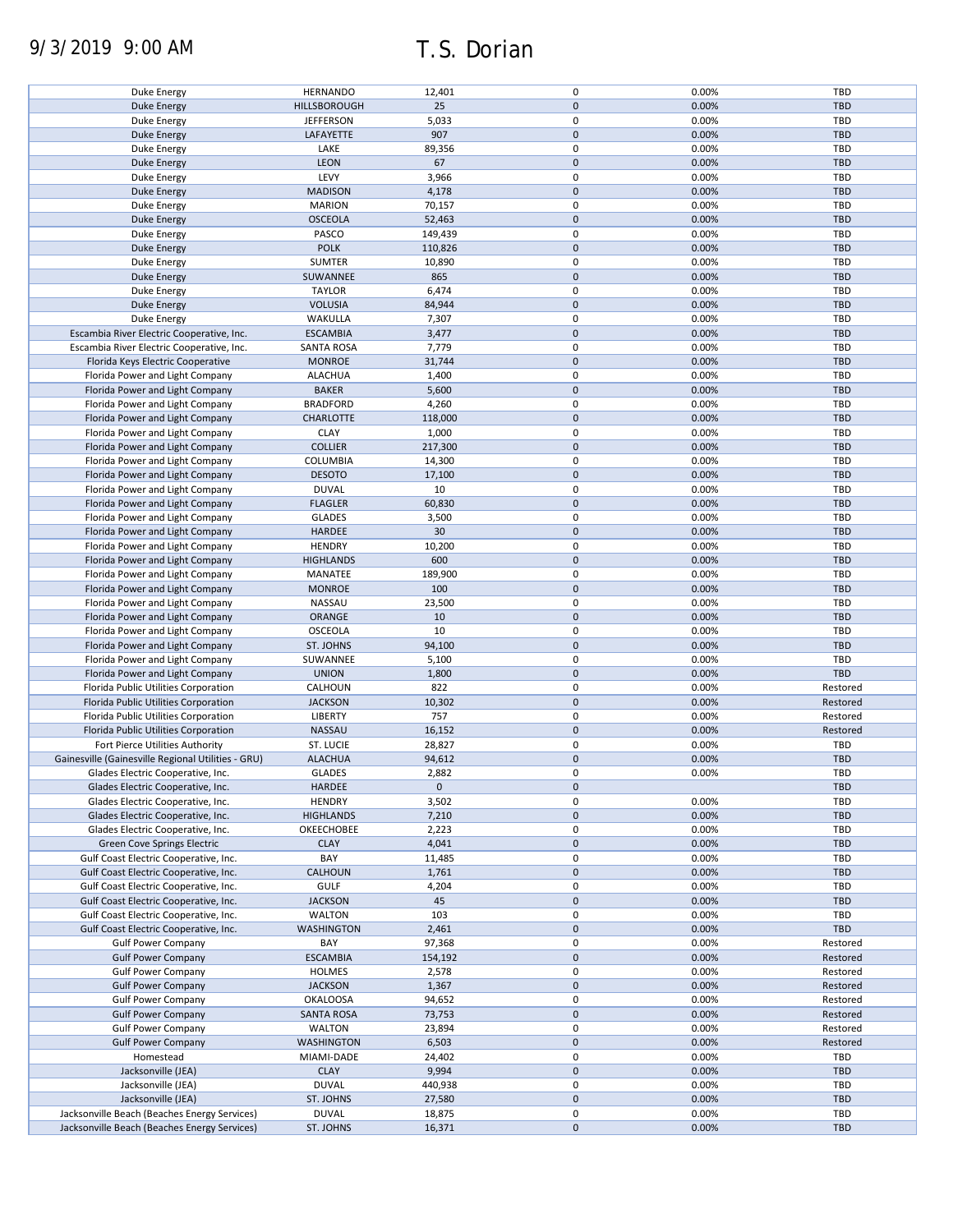# 9/3/2019 9:00 AM T.S. Dorian

| Duke Energy                                        | <b>HERNANDO</b>   | 12,401      | 0           | 0.00% | TBD        |
|----------------------------------------------------|-------------------|-------------|-------------|-------|------------|
| <b>Duke Energy</b>                                 | HILLSBOROUGH      | 25          | $\pmb{0}$   | 0.00% | <b>TBD</b> |
| Duke Energy                                        | <b>JEFFERSON</b>  | 5,033       | 0           | 0.00% | TBD        |
|                                                    |                   |             |             |       |            |
| <b>Duke Energy</b>                                 | LAFAYETTE         | 907         | $\pmb{0}$   | 0.00% | <b>TBD</b> |
| Duke Energy                                        | LAKE              | 89,356      | $\mathbf 0$ | 0.00% | TBD        |
| <b>Duke Energy</b>                                 | LEON              | 67          | $\pmb{0}$   | 0.00% | <b>TBD</b> |
|                                                    |                   |             | $\mathbf 0$ |       |            |
| Duke Energy                                        | LEVY              | 3,966       |             | 0.00% | TBD        |
| <b>Duke Energy</b>                                 | <b>MADISON</b>    | 4,178       | $\pmb{0}$   | 0.00% | <b>TBD</b> |
| Duke Energy                                        | <b>MARION</b>     | 70,157      | $\mathbf 0$ | 0.00% | <b>TBD</b> |
| <b>Duke Energy</b>                                 | <b>OSCEOLA</b>    | 52,463      | $\mathbf 0$ | 0.00% | <b>TBD</b> |
|                                                    |                   |             |             |       |            |
| Duke Energy                                        | PASCO             | 149,439     | $\mathbf 0$ | 0.00% | <b>TBD</b> |
| <b>Duke Energy</b>                                 | <b>POLK</b>       | 110,826     | $\mathbf 0$ | 0.00% | <b>TBD</b> |
| Duke Energy                                        | <b>SUMTER</b>     | 10,890      | $\mathbf 0$ | 0.00% | TBD        |
|                                                    |                   |             |             |       |            |
| <b>Duke Energy</b>                                 | SUWANNEE          | 865         | $\mathbf 0$ | 0.00% | <b>TBD</b> |
| Duke Energy                                        | <b>TAYLOR</b>     | 6,474       | $\pmb{0}$   | 0.00% | <b>TBD</b> |
| <b>Duke Energy</b>                                 | <b>VOLUSIA</b>    | 84,944      | $\mathbf 0$ | 0.00% | <b>TBD</b> |
|                                                    |                   |             |             |       |            |
| Duke Energy                                        | WAKULLA           | 7,307       | 0           | 0.00% | TBD        |
| Escambia River Electric Cooperative, Inc.          | <b>ESCAMBIA</b>   | 3,477       | $\pmb{0}$   | 0.00% | <b>TBD</b> |
| Escambia River Electric Cooperative, Inc.          | <b>SANTA ROSA</b> | 7,779       | 0           | 0.00% | TBD        |
|                                                    |                   |             | $\mathbf 0$ |       |            |
| Florida Keys Electric Cooperative                  | <b>MONROE</b>     | 31,744      |             | 0.00% | <b>TBD</b> |
| Florida Power and Light Company                    | <b>ALACHUA</b>    | 1,400       | $\pmb{0}$   | 0.00% | TBD        |
| Florida Power and Light Company                    | <b>BAKER</b>      | 5,600       | $\pmb{0}$   | 0.00% | <b>TBD</b> |
| Florida Power and Light Company                    | <b>BRADFORD</b>   |             | 0           | 0.00% | TBD        |
|                                                    |                   | 4,260       |             |       |            |
| Florida Power and Light Company                    | <b>CHARLOTTE</b>  | 118,000     | $\mathbf 0$ | 0.00% | <b>TBD</b> |
| Florida Power and Light Company                    | <b>CLAY</b>       | 1,000       | 0           | 0.00% | TBD        |
|                                                    | <b>COLLIER</b>    | 217,300     | $\mathbf 0$ | 0.00% | <b>TBD</b> |
| Florida Power and Light Company                    |                   |             |             |       |            |
| Florida Power and Light Company                    | COLUMBIA          | 14,300      | 0           | 0.00% | TBD        |
| Florida Power and Light Company                    | <b>DESOTO</b>     | 17,100      | $\pmb{0}$   | 0.00% | <b>TBD</b> |
| Florida Power and Light Company                    | <b>DUVAL</b>      | 10          | 0           | 0.00% | TBD        |
|                                                    |                   |             |             |       |            |
| Florida Power and Light Company                    | <b>FLAGLER</b>    | 60,830      | $\pmb{0}$   | 0.00% | <b>TBD</b> |
| Florida Power and Light Company                    | <b>GLADES</b>     | 3,500       | $\pmb{0}$   | 0.00% | TBD        |
| Florida Power and Light Company                    | HARDEE            | 30          | $\mathbf 0$ | 0.00% | <b>TBD</b> |
|                                                    |                   |             |             |       |            |
| Florida Power and Light Company                    | <b>HENDRY</b>     | 10,200      | $\pmb{0}$   | 0.00% | TBD        |
| Florida Power and Light Company                    | <b>HIGHLANDS</b>  | 600         | $\pmb{0}$   | 0.00% | <b>TBD</b> |
| Florida Power and Light Company                    | MANATEE           | 189,900     | $\pmb{0}$   | 0.00% | TBD        |
|                                                    |                   |             |             |       |            |
| Florida Power and Light Company                    | <b>MONROE</b>     | 100         | $\pmb{0}$   | 0.00% | <b>TBD</b> |
| Florida Power and Light Company                    | NASSAU            | 23,500      | 0           | 0.00% | <b>TBD</b> |
| Florida Power and Light Company                    | ORANGE            | 10          | $\pmb{0}$   | 0.00% | <b>TBD</b> |
|                                                    |                   |             |             |       |            |
| Florida Power and Light Company                    | <b>OSCEOLA</b>    | 10          | 0           | 0.00% | <b>TBD</b> |
| Florida Power and Light Company                    | ST. JOHNS         | 94,100      | $\mathbf 0$ | 0.00% | <b>TBD</b> |
| Florida Power and Light Company                    | SUWANNEE          | 5,100       | 0           | 0.00% | <b>TBD</b> |
|                                                    |                   |             |             |       |            |
| Florida Power and Light Company                    | <b>UNION</b>      | 1,800       | $\mathbf 0$ | 0.00% | <b>TBD</b> |
| Florida Public Utilities Corporation               | CALHOUN           | 822         | 0           | 0.00% | Restored   |
| Florida Public Utilities Corporation               | <b>JACKSON</b>    | 10,302      | $\mathbf 0$ | 0.00% | Restored   |
|                                                    |                   |             |             |       |            |
| Florida Public Utilities Corporation               | <b>LIBERTY</b>    | 757         | 0           | 0.00% | Restored   |
| Florida Public Utilities Corporation               | NASSAU            | 16,152      | $\pmb{0}$   | 0.00% | Restored   |
| Fort Pierce Utilities Authority                    | ST. LUCIE         | 28,827      | 0           | 0.00% | TBD        |
|                                                    |                   |             |             |       |            |
| Gainesville (Gainesville Regional Utilities - GRU) | <b>ALACHUA</b>    | 94,612      | $\pmb{0}$   | 0.00% | <b>TBD</b> |
| Glades Electric Cooperative, Inc.                  | <b>GLADES</b>     | 2,882       | 0           | 0.00% | TBD        |
| Glades Electric Cooperative, Inc.                  | <b>HARDEE</b>     | $\mathbf 0$ | $\pmb{0}$   |       | TBD        |
|                                                    |                   |             |             |       |            |
| Glades Electric Cooperative, Inc.                  | <b>HENDRY</b>     | 3,502       | 0           | 0.00% | TBD        |
| Glades Electric Cooperative, Inc.                  | <b>HIGHLANDS</b>  | 7,210       | $\pmb{0}$   | 0.00% | <b>TBD</b> |
| Glades Electric Cooperative, Inc.                  | OKEECHOBEE        | 2,223       | 0           | 0.00% | TBD        |
|                                                    |                   |             | $\pmb{0}$   | 0.00% | <b>TBD</b> |
| Green Cove Springs Electric                        | <b>CLAY</b>       | 4,041       |             |       |            |
| Gulf Coast Electric Cooperative, Inc.              | BAY               | 11,485      | 0           | 0.00% | TBD        |
| Gulf Coast Electric Cooperative, Inc.              | <b>CALHOUN</b>    | 1,761       | $\pmb{0}$   | 0.00% | <b>TBD</b> |
| Gulf Coast Electric Cooperative, Inc.              | <b>GULF</b>       |             | 0           | 0.00% | TBD        |
|                                                    |                   | 4,204       |             |       |            |
| Gulf Coast Electric Cooperative, Inc.              | <b>JACKSON</b>    | 45          | $\pmb{0}$   | 0.00% | <b>TBD</b> |
| Gulf Coast Electric Cooperative, Inc.              | <b>WALTON</b>     | 103         | 0           | 0.00% | TBD        |
| Gulf Coast Electric Cooperative, Inc.              | <b>WASHINGTON</b> | 2,461       | $\pmb{0}$   | 0.00% | <b>TBD</b> |
|                                                    |                   |             |             |       |            |
| <b>Gulf Power Company</b>                          | BAY               | 97,368      | 0           | 0.00% | Restored   |
| <b>Gulf Power Company</b>                          | <b>ESCAMBIA</b>   | 154,192     | $\pmb{0}$   | 0.00% | Restored   |
| <b>Gulf Power Company</b>                          | <b>HOLMES</b>     | 2,578       | 0           | 0.00% | Restored   |
|                                                    |                   |             |             |       |            |
| <b>Gulf Power Company</b>                          | <b>JACKSON</b>    | 1,367       | $\pmb{0}$   | 0.00% | Restored   |
| <b>Gulf Power Company</b>                          | <b>OKALOOSA</b>   | 94,652      | 0           | 0.00% | Restored   |
| <b>Gulf Power Company</b>                          | <b>SANTA ROSA</b> | 73,753      | $\pmb{0}$   | 0.00% | Restored   |
|                                                    |                   |             |             |       |            |
| <b>Gulf Power Company</b>                          | <b>WALTON</b>     | 23,894      | 0           | 0.00% | Restored   |
| <b>Gulf Power Company</b>                          | <b>WASHINGTON</b> | 6,503       | 0           | 0.00% | Restored   |
| Homestead                                          | MIAMI-DADE        | 24,402      | 0           | 0.00% | TBD        |
|                                                    |                   |             |             |       |            |
| Jacksonville (JEA)                                 | <b>CLAY</b>       | 9,994       | $\pmb{0}$   | 0.00% | <b>TBD</b> |
| Jacksonville (JEA)                                 | <b>DUVAL</b>      | 440,938     | 0           | 0.00% | TBD        |
| Jacksonville (JEA)                                 | ST. JOHNS         | 27,580      | $\pmb{0}$   | 0.00% | <b>TBD</b> |
|                                                    |                   |             | 0           |       |            |
| Jacksonville Beach (Beaches Energy Services)       | <b>DUVAL</b>      | 18,875      |             | 0.00% | TBD        |
| Jacksonville Beach (Beaches Energy Services)       | ST. JOHNS         | 16,371      | $\pmb{0}$   | 0.00% | TBD        |